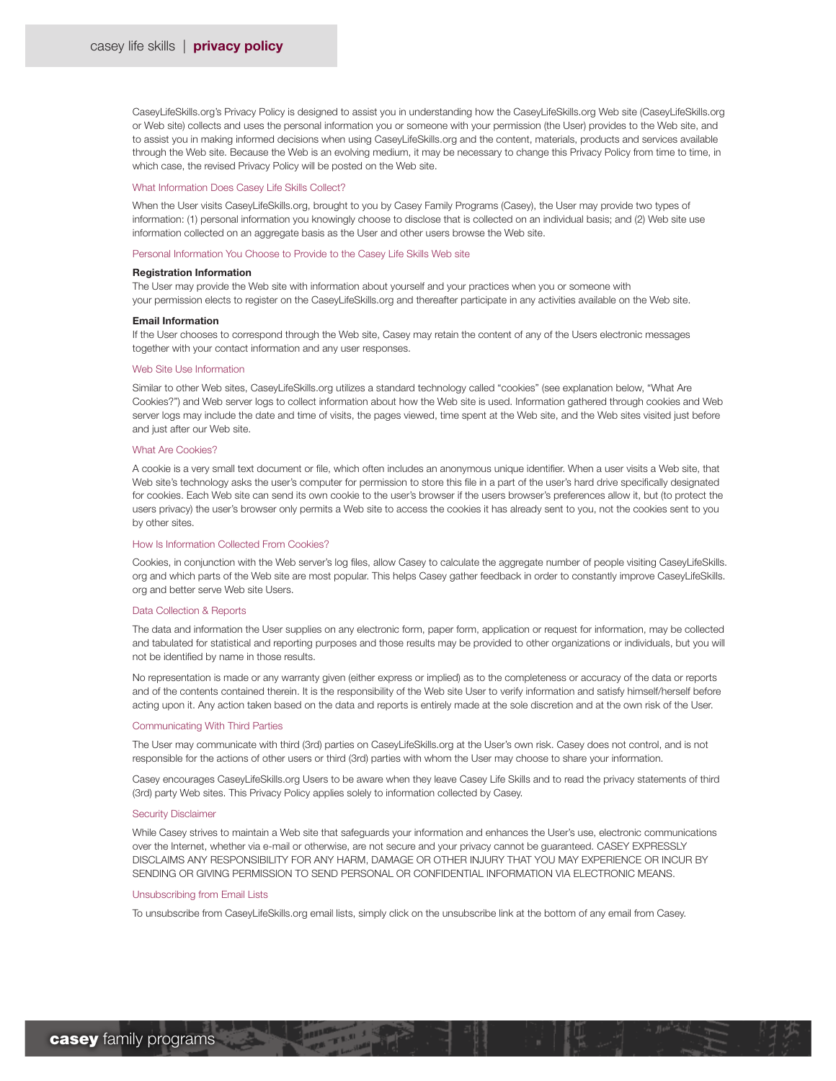CaseyLifeSkills.org's Privacy Policy is designed to assist you in understanding how the CaseyLifeSkills.org Web site (CaseyLifeSkills.org or Web site) collects and uses the personal information you or someone with your permission (the User) provides to the Web site, and to assist you in making informed decisions when using CaseyLifeSkills.org and the content, materials, products and services available through the Web site. Because the Web is an evolving medium, it may be necessary to change this Privacy Policy from time to time, in which case, the revised Privacy Policy will be posted on the Web site.

# What Information Does Casey Life Skills Collect?

When the User visits CaseyLifeSkills.org, brought to you by Casey Family Programs (Casey), the User may provide two types of information: (1) personal information you knowingly choose to disclose that is collected on an individual basis; and (2) Web site use information collected on an aggregate basis as the User and other users browse the Web site.

## Personal Information You Choose to Provide to the Casey Life Skills Web site

## Registration Information

The User may provide the Web site with information about yourself and your practices when you or someone with your permission elects to register on the CaseyLifeSkills.org and thereafter participate in any activities available on the Web site.

# Email Information

If the User chooses to correspond through the Web site, Casey may retain the content of any of the Users electronic messages together with your contact information and any user responses.

## Web Site Use Information

Similar to other Web sites, CaseyLifeSkills.org utilizes a standard technology called "cookies" (see explanation below, "What Are Cookies?") and Web server logs to collect information about how the Web site is used. Information gathered through cookies and Web server logs may include the date and time of visits, the pages viewed, time spent at the Web site, and the Web sites visited just before and just after our Web site.

# What Are Cookies?

A cookie is a very small text document or file, which often includes an anonymous unique identifier. When a user visits a Web site, that Web site's technology asks the user's computer for permission to store this file in a part of the user's hard drive specifically designated for cookies. Each Web site can send its own cookie to the user's browser if the users browser's preferences allow it, but (to protect the users privacy) the user's browser only permits a Web site to access the cookies it has already sent to you, not the cookies sent to you by other sites.

### How Is Information Collected From Cookies?

Cookies, in conjunction with the Web server's log files, allow Casey to calculate the aggregate number of people visiting CaseyLifeSkills. org and which parts of the Web site are most popular. This helps Casey gather feedback in order to constantly improve CaseyLifeSkills. org and better serve Web site Users.

#### Data Collection & Reports

The data and information the User supplies on any electronic form, paper form, application or request for information, may be collected and tabulated for statistical and reporting purposes and those results may be provided to other organizations or individuals, but you will not be identified by name in those results.

No representation is made or any warranty given (either express or implied) as to the completeness or accuracy of the data or reports and of the contents contained therein. It is the responsibility of the Web site User to verify information and satisfy himself/herself before acting upon it. Any action taken based on the data and reports is entirely made at the sole discretion and at the own risk of the User.

## Communicating With Third Parties

The User may communicate with third (3rd) parties on CaseyLifeSkills.org at the User's own risk. Casey does not control, and is not responsible for the actions of other users or third (3rd) parties with whom the User may choose to share your information.

Casey encourages CaseyLifeSkills.org Users to be aware when they leave Casey Life Skills and to read the privacy statements of third (3rd) party Web sites. This Privacy Policy applies solely to information collected by Casey.

#### Security Disclaimer

While Casey strives to maintain a Web site that safeguards your information and enhances the User's use, electronic communications over the Internet, whether via e-mail or otherwise, are not secure and your privacy cannot be guaranteed. CASEY EXPRESSLY DISCLAIMS ANY RESPONSIBILITY FOR ANY HARM, DAMAGE OR OTHER INJURY THAT YOU MAY EXPERIENCE OR INCUR BY SENDING OR GIVING PERMISSION TO SEND PERSONAL OR CONFIDENTIAL INFORMATION VIA ELECTRONIC MEANS.

# Unsubscribing from Email Lists

To unsubscribe from CaseyLifeSkills.org email lists, simply click on the unsubscribe link at the bottom of any email from Casey.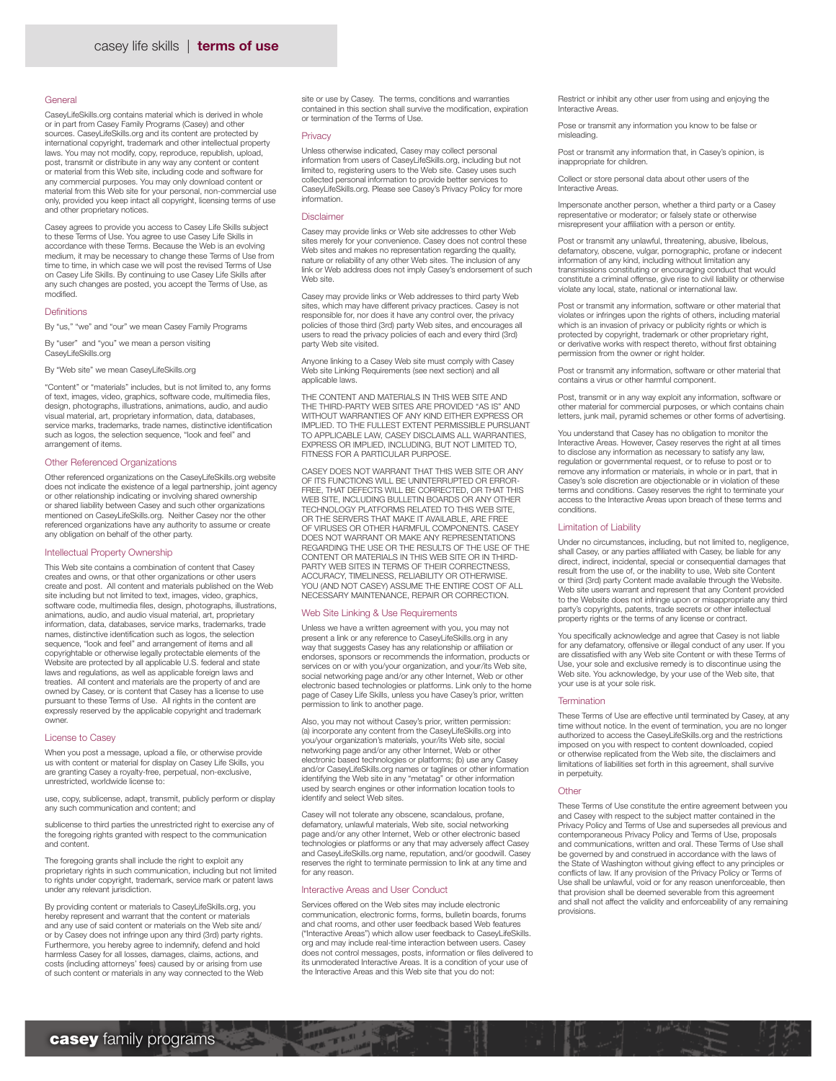## **General**

CaseyLifeSkills.org contains material which is derived in whole or in part from Casey Family Programs (Casey) and other sources. CaseyLifeSkills.org and its content are protected by international copyright, trademark and other intellectual property laws. You may not modify, copy, reproduce, republish, upload, post, transmit or distribute in any way any content or content or material from this Web site, including code and software for any commercial purposes. You may only download content or material from this Web site for your personal, non-commercial use only, provided you keep intact all copyright, licensing terms of use and other proprietary notices.

Casey agrees to provide you access to Casey Life Skills subject to these Terms of Use. You agree to use Casey Life Skills in accordance with these Terms. Because the Web is an evolving medium, it may be necessary to change these Terms of Use from time to time, in which case we will post the revised Terms of Use on Casey Life Skills. By continuing to use Casey Life Skills after any such changes are posted, you accept the Terms of Use, as modified.

# Definitions

By "us," "we" and "our" we mean Casey Family Programs

By "user" and "you" we mean a person visiting CaseyLifeSkills.org

By "Web site" we mean CaseyLifeSkills.org

"Content" or "materials" includes, but is not limited to, any forms of text, images, video, graphics, software code, multimedia files, design, photographs, illustrations, animations, audio, and audio visual material, art, proprietary information, data, databases, service marks, trademarks, trade names, distinctive identification such as logos, the selection sequence, "look and feel" and arrangement of items.

## Other Referenced Organizations

Other referenced organizations on the CaseyLifeSkills.org website does not indicate the existence of a legal partnership, joint agency or other relationship indicating or involving shared ownership or shared liability between Casey and such other organizations mentioned on CaseyLifeSkills.org. Neither Casey nor the other referenced organizations have any authority to assume or create any obligation on behalf of the other party.

# Intellectual Property Ownership

This Web site contains a combination of content that Casey creates and owns, or that other organizations or other users create and post. All content and materials published on the Web site including but not limited to text, images, video, graphics, software code, multimedia files, design, photographs, illustrations, animations, audio, and audio visual material, art, proprietary information, data, databases, service marks, trademarks, trade names, distinctive identification such as logos, the selection sequence, "look and feel" and arrangement of items and all copyrightable or otherwise legally protectable elements of the Website are protected by all applicable U.S. federal and state laws and regulations, as well as applicable foreign laws and treaties. All content and materials are the property of and are owned by Casey, or is content that Casey has a license to use pursuant to these Terms of Use. All rights in the content are expressly reserved by the applicable copyright and trademark owner.

## License to Casey

When you post a message, upload a file, or otherwise provide us with content or material for display on Casey Life Skills, you are granting Casey a royalty-free, perpetual, non-exclusive, unrestricted, worldwide license to:

use, copy, sublicense, adapt, transmit, publicly perform or display any such communication and content; and

sublicense to third parties the unrestricted right to exercise any of the foregoing rights granted with respect to the communication and content.

The foregoing grants shall include the right to exploit any proprietary rights in such communication, including but not limited to rights under copyright, trademark, service mark or patent laws under any relevant jurisdiction.

By providing content or materials to CaseyLifeSkills.org, you hereby represent and warrant that the content or materials and any use of said content or materials on the Web site and/ or by Casey does not infringe upon any third (3rd) party rights. Furthermore, you hereby agree to indemnify, defend and hold harmless Casey for all losses, damages, claims, actions, and costs (including attorneys' fees) caused by or arising from use of such content or materials in any way connected to the Web

site or use by Casey. The terms, conditions and warranties contained in this section shall survive the modification, expiration or termination of the Terms of Use.

### **Privacy**

Unless otherwise indicated, Casey may collect personal information from users of CaseyLifeSkills.org, including but not limited to, registering users to the Web site. Casey uses such collected personal information to provide better services to CaseyLifeSkills.org. Please see Casey's Privacy Policy for more information.

# Disclaimer

Casey may provide links or Web site addresses to other Web sites merely for your convenience. Casey does not control these Web sites and makes no representation regarding the quality, nature or reliability of any other Web sites. The inclusion of any link or Web address does not imply Casey's endorsement of such Web site.

Casey may provide links or Web addresses to third party Web sites, which may have different privacy practices. Casey is not responsible for, nor does it have any control over, the privacy policies of those third (3rd) party Web sites, and encourages all users to read the privacy policies of each and every third (3rd) party Web site visited.

Anyone linking to a Casey Web site must comply with Casey Web site Linking Requirements (see next section) and all applicable laws.

THE CONTENT AND MATERIALS IN THIS WEB SITE AND THE THIRD-PARTY WEB SITES ARE PROVIDED "AS IS" AND WITHOUT WARRANTIES OF ANY KIND EITHER EXPRESS OR IMPLIED. TO THE FULLEST EXTENT PERMISSIBLE PURSUANT TO APPLICABLE LAW, CASEY DISCLAIMS ALL WARRANTIES, EXPRESS OR IMPLIED, INCLUDING, BUT NOT LIMITED TO, FITNESS FOR A PARTICULAR PURPOSE.

CASEY DOES NOT WARRANT THAT THIS WEB SITE OR ANY OF ITS FUNCTIONS WILL BE UNINTERRUPTED OR ERROR-FREE, THAT DEFECTS WILL BE CORRECTED, OR THAT THIS WEB SITE, INCLUDING BULLETIN BOARDS OR ANY OTHER TECHNOLOGY PLATFORMS RELATED TO THIS WEB SITE, OR THE SERVERS THAT MAKE IT AVAILABLE, ARE FREE OF VIRUSES OR OTHER HARMFUL COMPONENTS. CASEY DOES NOT WARRANT OR MAKE ANY REPRESENTATIONS REGARDING THE USE OR THE RESULTS OF THE USE OF THE CONTENT OR MATERIALS IN THIS WEB SITE OR IN THIRD-PARTY WEB SITES IN TERMS OF THEIR CORRECTNESS, ACCURACY, TIMELINESS, RELIABILITY OR OTHERWISE. YOU (AND NOT CASEY) ASSUME THE ENTIRE COST OF ALL NECESSARY MAINTENANCE, REPAIR OR CORRECTION.

#### Web Site Linking & Use Requirements

Unless we have a written agreement with you, you may not present a link or any reference to CaseyLifeSkills.org in any way that suggests Casey has any relationship or affiliation or endorses, sponsors or recommends the information, products or services on or with you/your organization, and your/its Web site, social networking page and/or any other Internet, Web or other electronic based technologies or platforms. Link only to the home page of Casey Life Skills, unless you have Casey's prior, written permission to link to another page.

Also, you may not without Casey's prior, written permission: (a) incorporate any content from the CaseyLifeSkills.org into you/your organization's materials, your/its Web site, social networking page and/or any other Internet, Web or other electronic based technologies or platforms; (b) use any Casey and/or CaseyLifeSkills.org names or taglines or other information identifying the Web site in any "metatag" or other information used by search engines or other information location tools to identify and select Web sites.

Casey will not tolerate any obscene, scandalous, profane, defamatory, unlawful materials, Web site, social networking page and/or any other Internet, Web or other electronic based technologies or platforms or any that may adversely affect Casey and CaseyLifeSkills.org name, reputation, and/or goodwill. Casey reserves the right to terminate permission to link at any time and for any reason

#### Interactive Areas and User Conduct

Services offered on the Web sites may include electronic communication, electronic forms, forms, bulletin boards, forums and chat rooms, and other user feedback based Web features ("Interactive Areas") which allow user feedback to CaseyLifeSkills. org and may include real-time interaction between users. Casey does not control messages, posts, information or files delivered to its unmoderated Interactive Areas. It is a condition of your use of the Interactive Areas and this Web site that you do not:

Restrict or inhibit any other user from using and enjoying the Interactive Areas.

Pose or transmit any information you know to be false or misleading.

Post or transmit any information that, in Casey's opinion, is inappropriate for children.

Collect or store personal data about other users of the Interactive Areas.

Impersonate another person, whether a third party or a Casey representative or moderator; or falsely state or otherwise misrepresent your affiliation with a person or entity.

Post or transmit any unlawful, threatening, abusive, libelous, defamatory, obscene, vulgar, pornographic, profane or indecent information of any kind, including without limitation any transmissions constituting or encouraging conduct that would constitute a criminal offense, give rise to civil liability or otherwise violate any local, state, national or international law.

Post or transmit any information, software or other material that violates or infringes upon the rights of others, including material which is an invasion of privacy or publicity rights or which is protected by copyright, trademark or other proprietary right, or derivative works with respect thereto, without first obtaining permission from the owner or right holder.

Post or transmit any information, software or other material that contains a virus or other harmful component.

Post, transmit or in any way exploit any information, software or other material for commercial purposes, or which contains chain letters, junk mail, pyramid schemes or other forms of advertising.

You understand that Casey has no obligation to monitor the Interactive Areas. However, Casey reserves the right at all times to disclose any information as necessary to satisfy any law, regulation or governmental request, or to refuse to post or to remove any information or materials, in whole or in part, that in Casey's sole discretion are objectionable or in violation of these terms and conditions. Casey reserves the right to terminate your access to the Interactive Areas upon breach of these terms and conditions.

#### Limitation of Liability

Under no circumstances, including, but not limited to, negligence, shall Casey, or any parties affiliated with Casey, be liable for any direct, indirect, incidental, special or consequential damages that result from the use of, or the inability to use, Web site Content or third (3rd) party Content made available through the Website. Web site users warrant and represent that any Content provided to the Website does not infringe upon or misappropriate any third party's copyrights, patents, trade secrets or other intellectual property rights or the terms of any license or contract.

You specifically acknowledge and agree that Casey is not liable for any defamatory, offensive or illegal conduct of any user. If you are dissatisfied with any Web site Content or with these Terms of Use, your sole and exclusive remedy is to discontinue using the Web site. You acknowledge, by your use of the Web site, that your use is at your sole risk.

#### **Termination**

These Terms of Use are effective until terminated by Casey, at any time without notice. In the event of termination, you are no longer authorized to access the CaseyLifeSkills.org and the restrictions imposed on you with respect to content downloaded, copied or otherwise replicated from the Web site, the disclaimers and limitations of liabilities set forth in this agreement, shall survive in perpetuity.

#### **Other**

These Terms of Use constitute the entire agreement between you and Casey with respect to the subject matter contained in the Privacy Policy and Terms of Use and supersedes all previous and contemporaneous Privacy Policy and Terms of Use, proposals and communications, written and oral. These Terms of Use shall be governed by and construed in accordance with the laws of the State of Washington without giving effect to any principles or conflicts of law. If any provision of the Privacy Policy or Terms of Use shall be unlawful, void or for any reason unenforceable, then that provision shall be deemed severable from this agreement and shall not affect the validity and enforceability of any remaining provisions.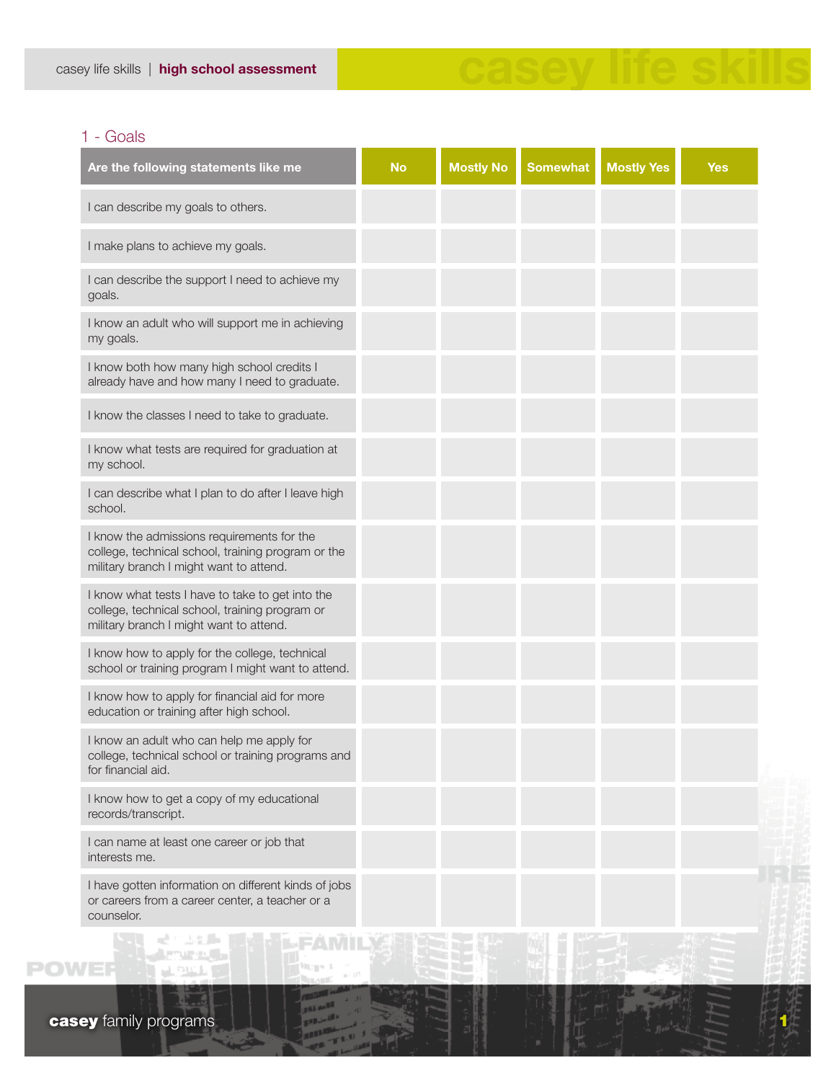# 1 - Goals

| Are the following statements like me                                                                                                          | <b>No</b> | <b>Mostly No</b> | <b>Somewhat</b> | <b>Mostly Yes</b> | <b>Yes</b> |
|-----------------------------------------------------------------------------------------------------------------------------------------------|-----------|------------------|-----------------|-------------------|------------|
| I can describe my goals to others.                                                                                                            |           |                  |                 |                   |            |
| I make plans to achieve my goals.                                                                                                             |           |                  |                 |                   |            |
| I can describe the support I need to achieve my<br>goals.                                                                                     |           |                  |                 |                   |            |
| I know an adult who will support me in achieving<br>my goals.                                                                                 |           |                  |                 |                   |            |
| I know both how many high school credits I<br>already have and how many I need to graduate.                                                   |           |                  |                 |                   |            |
| I know the classes I need to take to graduate.                                                                                                |           |                  |                 |                   |            |
| I know what tests are required for graduation at<br>my school.                                                                                |           |                  |                 |                   |            |
| I can describe what I plan to do after I leave high<br>school.                                                                                |           |                  |                 |                   |            |
| I know the admissions requirements for the<br>college, technical school, training program or the<br>military branch I might want to attend.   |           |                  |                 |                   |            |
| I know what tests I have to take to get into the<br>college, technical school, training program or<br>military branch I might want to attend. |           |                  |                 |                   |            |
| I know how to apply for the college, technical<br>school or training program I might want to attend.                                          |           |                  |                 |                   |            |
| I know how to apply for financial aid for more<br>education or training after high school.                                                    |           |                  |                 |                   |            |
| I know an adult who can help me apply for<br>college, technical school or training programs and<br>for financial aid.                         |           |                  |                 |                   |            |
| I know how to get a copy of my educational<br>records/transcript.                                                                             |           |                  |                 |                   |            |
| I can name at least one career or job that<br>interests me.                                                                                   |           |                  |                 |                   |            |
| I have gotten information on different kinds of jobs<br>or careers from a career center, a teacher or a<br>counselor.                         |           |                  |                 |                   |            |
|                                                                                                                                               |           |                  |                 |                   |            |

casey life skills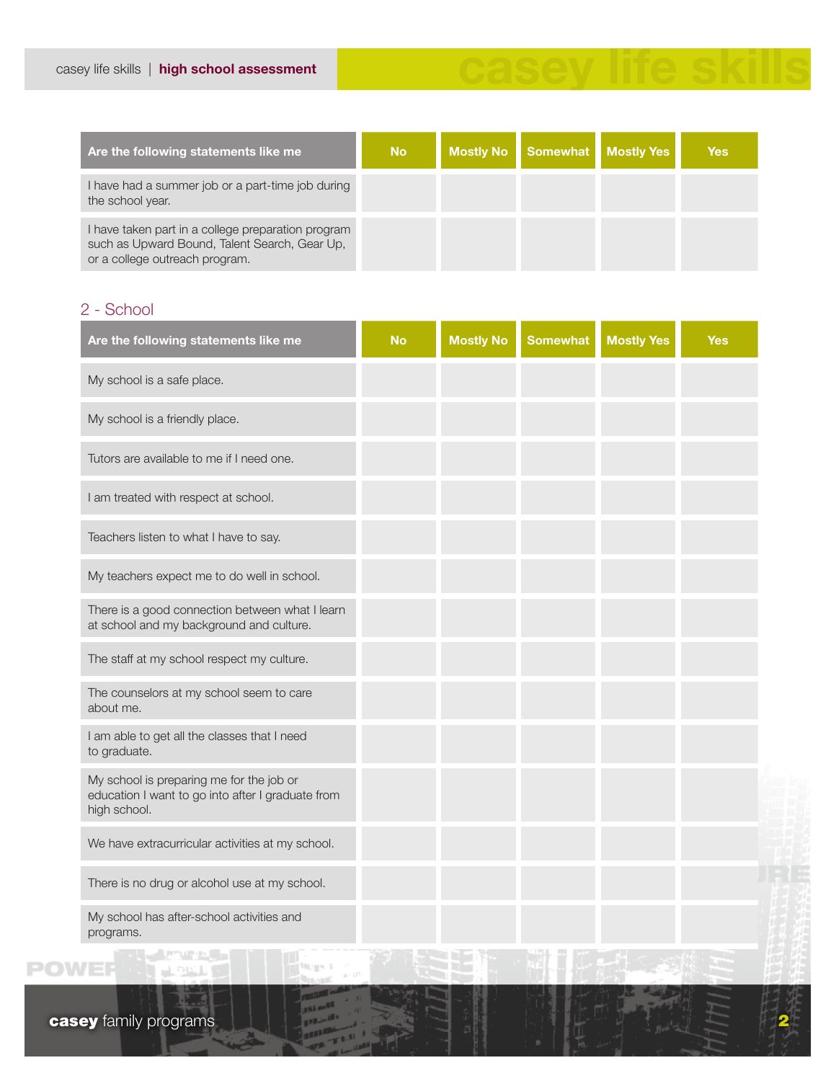| Are the following statements like me                                                                                                  | <b>No</b> | Mostly No | Somewhat Mostly Yes | <b>Yes</b> |
|---------------------------------------------------------------------------------------------------------------------------------------|-----------|-----------|---------------------|------------|
| I have had a summer job or a part-time job during<br>the school year.                                                                 |           |           |                     |            |
| I have taken part in a college preparation program<br>such as Upward Bound, Talent Search, Gear Up,<br>or a college outreach program. |           |           |                     |            |

casey life skills

# 2 - School

| Are the following statements like me                                                                          | <b>No</b> | <b>Mostly No</b> | <b>Somewhat</b> | <b>Mostly Yes</b> | <b>Yes</b> |
|---------------------------------------------------------------------------------------------------------------|-----------|------------------|-----------------|-------------------|------------|
| My school is a safe place.                                                                                    |           |                  |                 |                   |            |
| My school is a friendly place.                                                                                |           |                  |                 |                   |            |
| Tutors are available to me if I need one.                                                                     |           |                  |                 |                   |            |
| I am treated with respect at school.                                                                          |           |                  |                 |                   |            |
| Teachers listen to what I have to say.                                                                        |           |                  |                 |                   |            |
| My teachers expect me to do well in school.                                                                   |           |                  |                 |                   |            |
| There is a good connection between what I learn<br>at school and my background and culture.                   |           |                  |                 |                   |            |
| The staff at my school respect my culture.                                                                    |           |                  |                 |                   |            |
| The counselors at my school seem to care<br>about me.                                                         |           |                  |                 |                   |            |
| I am able to get all the classes that I need<br>to graduate.                                                  |           |                  |                 |                   |            |
| My school is preparing me for the job or<br>education I want to go into after I graduate from<br>high school. |           |                  |                 |                   |            |
| We have extracurricular activities at my school.                                                              |           |                  |                 |                   |            |
| There is no drug or alcohol use at my school.                                                                 |           |                  |                 |                   |            |
| My school has after-school activities and<br>programs.                                                        |           |                  |                 |                   |            |
| <b>The County of American County</b>                                                                          |           |                  |                 |                   |            |

 $W_{G} = 1$ 

 $\mathcal{L} = \{1, 2, 3, 4, 5\}$ 

**POWEF**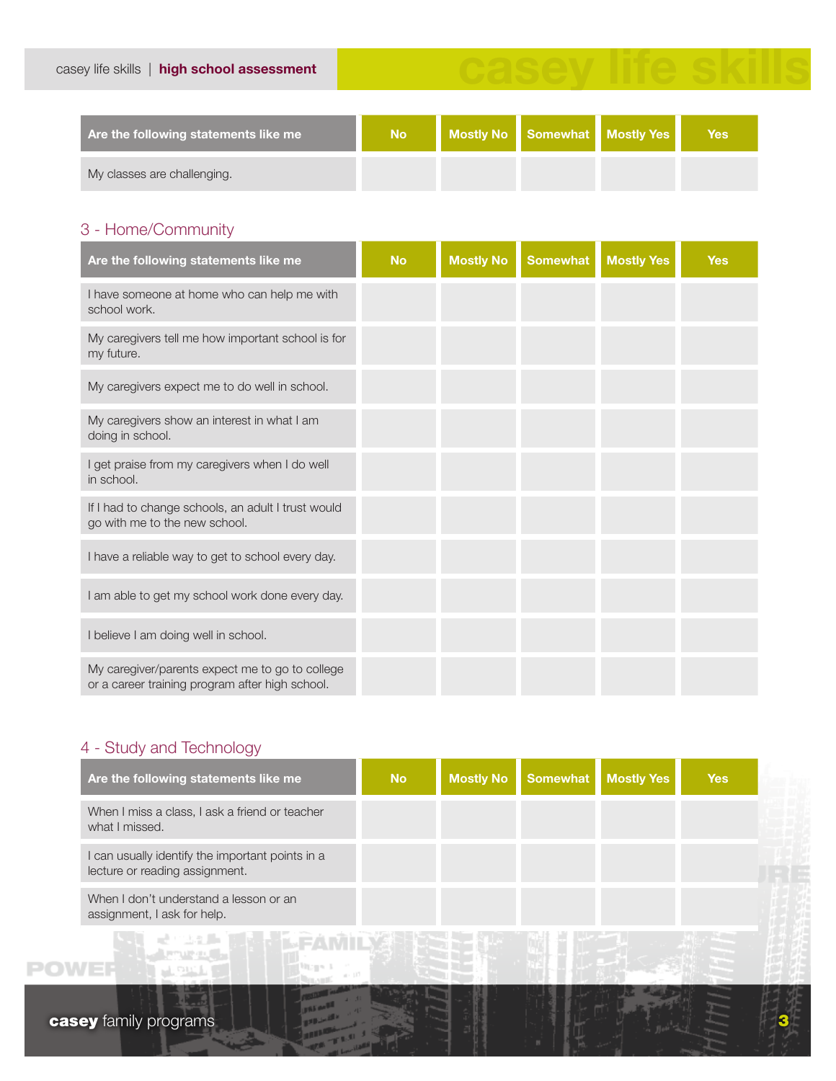| Are the following statements like me | <b>No</b> | Mostly No Somewhat Mostly Yes | <b>Yes</b> |
|--------------------------------------|-----------|-------------------------------|------------|
| My classes are challenging.          |           |                               |            |

casey life skills

# 3 - Home/Community

| Are the following statements like me                                                               | <b>No</b> | <b>Mostly No</b> | <b>Somewhat</b> | <b>Mostly Yes</b> | <b>Yes</b> |
|----------------------------------------------------------------------------------------------------|-----------|------------------|-----------------|-------------------|------------|
| I have someone at home who can help me with<br>school work.                                        |           |                  |                 |                   |            |
| My caregivers tell me how important school is for<br>my future.                                    |           |                  |                 |                   |            |
| My caregivers expect me to do well in school.                                                      |           |                  |                 |                   |            |
| My caregivers show an interest in what I am<br>doing in school.                                    |           |                  |                 |                   |            |
| I get praise from my caregivers when I do well<br>in school.                                       |           |                  |                 |                   |            |
| If I had to change schools, an adult I trust would<br>go with me to the new school.                |           |                  |                 |                   |            |
| I have a reliable way to get to school every day.                                                  |           |                  |                 |                   |            |
| I am able to get my school work done every day.                                                    |           |                  |                 |                   |            |
| I believe I am doing well in school.                                                               |           |                  |                 |                   |            |
| My caregiver/parents expect me to go to college<br>or a career training program after high school. |           |                  |                 |                   |            |

# 4 - Study and Technology

| Are the following statements like me                                               | <b>No</b> | <b>Mostly No</b> | <b>Somewhat</b> | <b>Mostly Yes</b> | <b>Yes</b> |  |
|------------------------------------------------------------------------------------|-----------|------------------|-----------------|-------------------|------------|--|
| When I miss a class, I ask a friend or teacher<br>what I missed.                   |           |                  |                 |                   |            |  |
| I can usually identify the important points in a<br>lecture or reading assignment. |           |                  |                 |                   |            |  |
| When I don't understand a lesson or an<br>assignment, I ask for help.              |           |                  |                 |                   |            |  |
|                                                                                    |           |                  |                 |                   |            |  |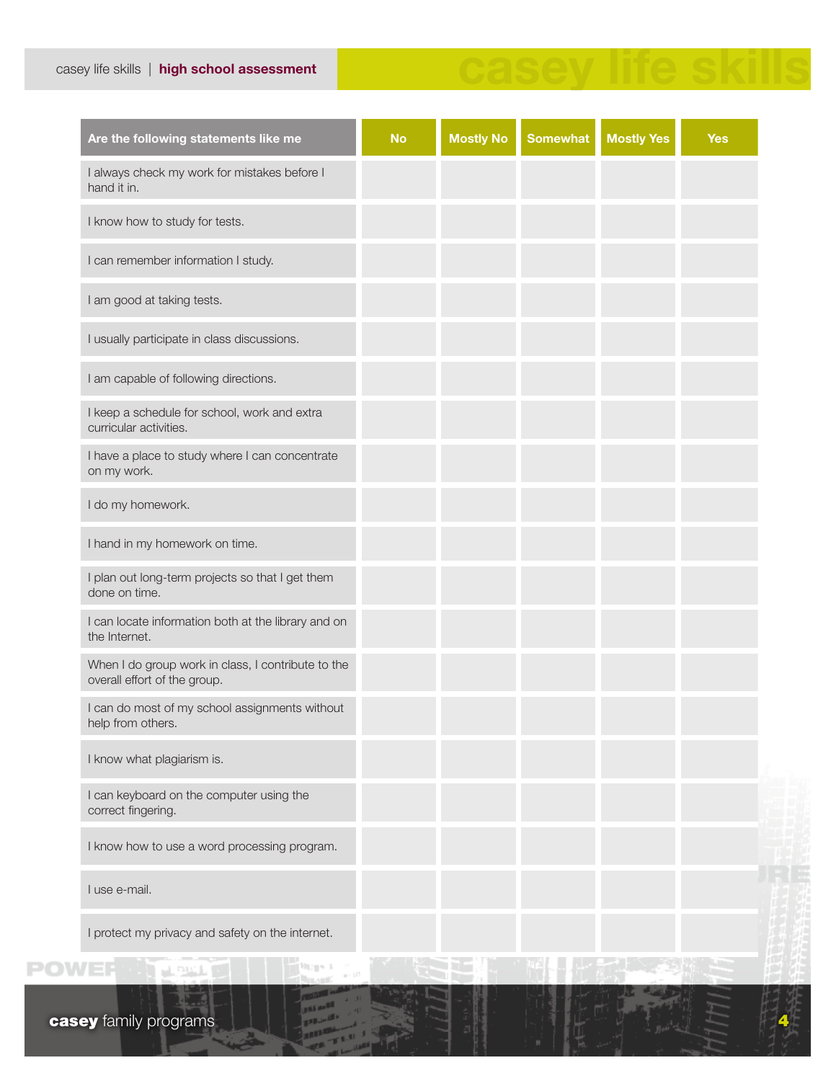# casey life skills | high school assessment

# casey life skills

| Are the following statements like me                                               | <b>No</b> | <b>Mostly No</b> | <b>Somewhat</b> | <b>Mostly Yes</b> | <b>Yes</b> |
|------------------------------------------------------------------------------------|-----------|------------------|-----------------|-------------------|------------|
| I always check my work for mistakes before I<br>hand it in.                        |           |                  |                 |                   |            |
| I know how to study for tests.                                                     |           |                  |                 |                   |            |
| I can remember information I study.                                                |           |                  |                 |                   |            |
| I am good at taking tests.                                                         |           |                  |                 |                   |            |
| I usually participate in class discussions.                                        |           |                  |                 |                   |            |
| I am capable of following directions.                                              |           |                  |                 |                   |            |
| I keep a schedule for school, work and extra<br>curricular activities.             |           |                  |                 |                   |            |
| I have a place to study where I can concentrate<br>on my work.                     |           |                  |                 |                   |            |
| I do my homework.                                                                  |           |                  |                 |                   |            |
| I hand in my homework on time.                                                     |           |                  |                 |                   |            |
| I plan out long-term projects so that I get them<br>done on time.                  |           |                  |                 |                   |            |
| I can locate information both at the library and on<br>the Internet.               |           |                  |                 |                   |            |
| When I do group work in class, I contribute to the<br>overall effort of the group. |           |                  |                 |                   |            |
| I can do most of my school assignments without<br>help from others.                |           |                  |                 |                   |            |
| I know what plagiarism is.                                                         |           |                  |                 |                   |            |
| I can keyboard on the computer using the<br>correct fingering.                     |           |                  |                 |                   |            |
| I know how to use a word processing program.                                       |           |                  |                 |                   |            |
| I use e-mail.                                                                      |           |                  |                 |                   |            |
| I protect my privacy and safety on the internet.                                   |           |                  |                 |                   |            |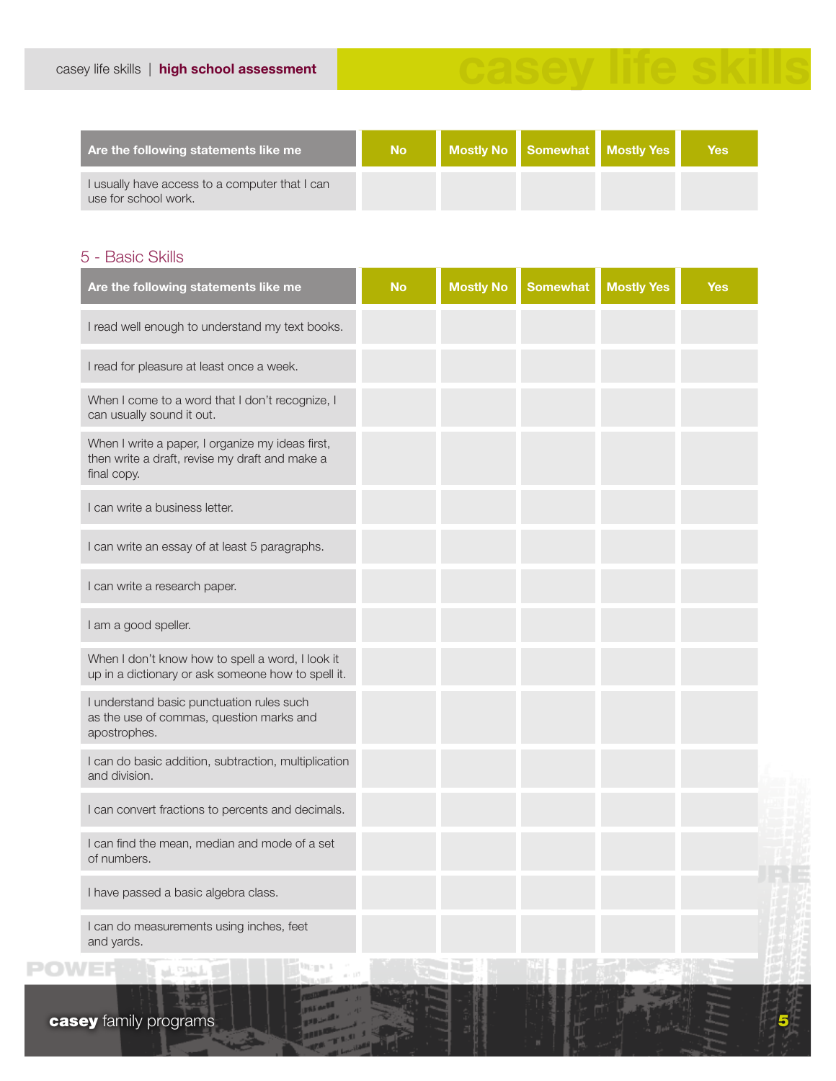

「「大学」「大学先生

| Are the following statements like me                                   | No. |  | Mostly No Somewhat Mostly Yes | <b>Yes</b> |
|------------------------------------------------------------------------|-----|--|-------------------------------|------------|
| I usually have access to a computer that I can<br>use for school work. |     |  |                               |            |

# 5 - Basic Skills

| Are the following statements like me                                                                              | <b>No</b> | <b>Mostly No</b> | <b>Somewhat</b> | <b>Mostly Yes</b> | <b>Yes</b> |
|-------------------------------------------------------------------------------------------------------------------|-----------|------------------|-----------------|-------------------|------------|
| I read well enough to understand my text books.                                                                   |           |                  |                 |                   |            |
| I read for pleasure at least once a week.                                                                         |           |                  |                 |                   |            |
| When I come to a word that I don't recognize, I<br>can usually sound it out.                                      |           |                  |                 |                   |            |
| When I write a paper, I organize my ideas first,<br>then write a draft, revise my draft and make a<br>final copy. |           |                  |                 |                   |            |
| I can write a business letter.                                                                                    |           |                  |                 |                   |            |
| I can write an essay of at least 5 paragraphs.                                                                    |           |                  |                 |                   |            |
| I can write a research paper.                                                                                     |           |                  |                 |                   |            |
| I am a good speller.                                                                                              |           |                  |                 |                   |            |
| When I don't know how to spell a word, I look it<br>up in a dictionary or ask someone how to spell it.            |           |                  |                 |                   |            |
| I understand basic punctuation rules such<br>as the use of commas, question marks and<br>apostrophes.             |           |                  |                 |                   |            |
| I can do basic addition, subtraction, multiplication<br>and division.                                             |           |                  |                 |                   |            |
| I can convert fractions to percents and decimals.                                                                 |           |                  |                 |                   |            |
| I can find the mean, median and mode of a set<br>of numbers.                                                      |           |                  |                 |                   |            |
| I have passed a basic algebra class.                                                                              |           |                  |                 |                   |            |
| I can do measurements using inches, feet<br>and yards.                                                            |           |                  |                 |                   |            |
| <b>OWEF IN JUNE STATE RAND</b>                                                                                    |           |                  |                 |                   |            |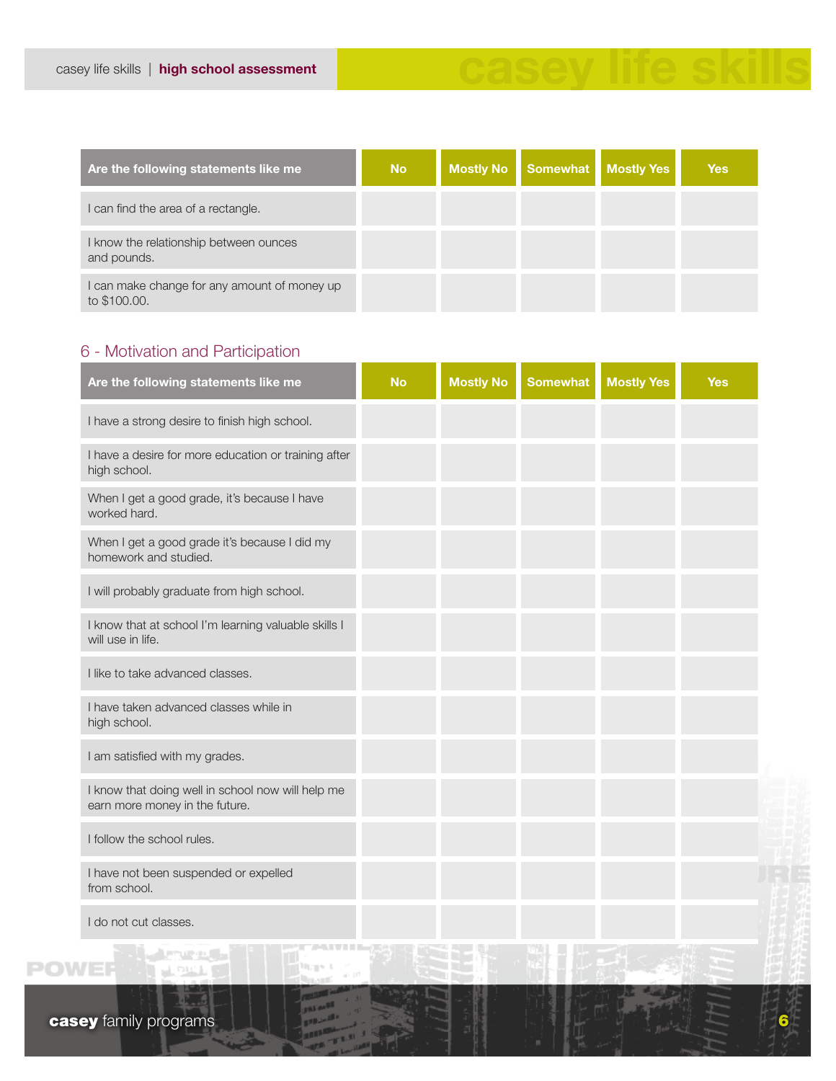| Are the following statements like me                         | <b>No</b> | <b>Mostly No</b> | <b>Somewhat</b> | <b>Mostly Yes</b> | <b>Yes</b> |
|--------------------------------------------------------------|-----------|------------------|-----------------|-------------------|------------|
| I can find the area of a rectangle.                          |           |                  |                 |                   |            |
| I know the relationship between ounces<br>and pounds.        |           |                  |                 |                   |            |
| I can make change for any amount of money up<br>to \$100.00. |           |                  |                 |                   |            |

# 6 - Motivation and Participation

| Are the following statements like me                                                | <b>No</b> | <b>Mostly No</b> | <b>Somewhat</b> | <b>Mostly Yes</b> | <b>Yes</b> |
|-------------------------------------------------------------------------------------|-----------|------------------|-----------------|-------------------|------------|
| I have a strong desire to finish high school.                                       |           |                  |                 |                   |            |
| I have a desire for more education or training after<br>high school.                |           |                  |                 |                   |            |
| When I get a good grade, it's because I have<br>worked hard.                        |           |                  |                 |                   |            |
| When I get a good grade it's because I did my<br>homework and studied.              |           |                  |                 |                   |            |
| I will probably graduate from high school.                                          |           |                  |                 |                   |            |
| I know that at school I'm learning valuable skills I<br>will use in life.           |           |                  |                 |                   |            |
| I like to take advanced classes.                                                    |           |                  |                 |                   |            |
| I have taken advanced classes while in<br>high school.                              |           |                  |                 |                   |            |
| I am satisfied with my grades.                                                      |           |                  |                 |                   |            |
| I know that doing well in school now will help me<br>earn more money in the future. |           |                  |                 |                   |            |
| I follow the school rules.                                                          |           |                  |                 |                   |            |
| I have not been suspended or expelled<br>from school.                               |           |                  |                 |                   |            |
| I do not cut classes.                                                               |           |                  |                 |                   |            |
| <b>TANTINI BELLET</b><br>al property                                                |           |                  |                 |                   |            |

Wagne B

<u>nt and r</u>

**POWER**